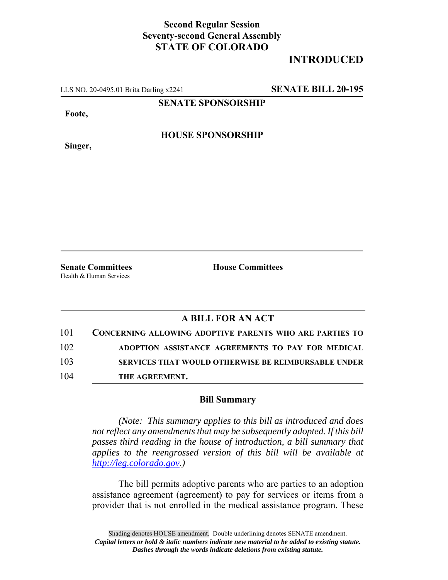## **Second Regular Session Seventy-second General Assembly STATE OF COLORADO**

## **INTRODUCED**

LLS NO. 20-0495.01 Brita Darling x2241 **SENATE BILL 20-195**

**SENATE SPONSORSHIP**

**Foote,**

**HOUSE SPONSORSHIP**

**Singer,**

**Senate Committees House Committees** Health & Human Services

## **A BILL FOR AN ACT**

| 101 | <b>CONCERNING ALLOWING ADOPTIVE PARENTS WHO ARE PARTIES TO</b> |
|-----|----------------------------------------------------------------|
| 102 | ADOPTION ASSISTANCE AGREEMENTS TO PAY FOR MEDICAL              |
| 103 | <b>SERVICES THAT WOULD OTHERWISE BE REIMBURSABLE UNDER</b>     |
| 104 | THE AGREEMENT.                                                 |

## **Bill Summary**

*(Note: This summary applies to this bill as introduced and does not reflect any amendments that may be subsequently adopted. If this bill passes third reading in the house of introduction, a bill summary that applies to the reengrossed version of this bill will be available at http://leg.colorado.gov.)*

The bill permits adoptive parents who are parties to an adoption assistance agreement (agreement) to pay for services or items from a provider that is not enrolled in the medical assistance program. These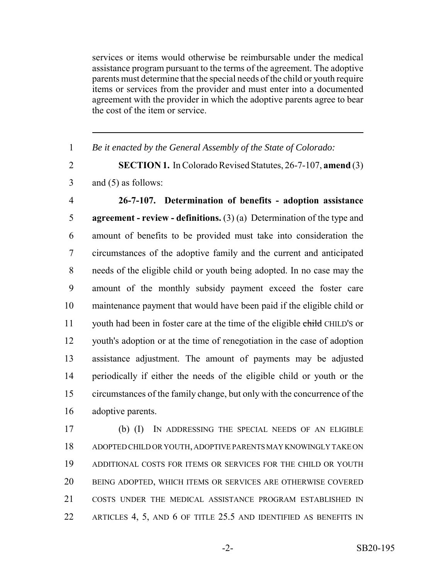services or items would otherwise be reimbursable under the medical assistance program pursuant to the terms of the agreement. The adoptive parents must determine that the special needs of the child or youth require items or services from the provider and must enter into a documented agreement with the provider in which the adoptive parents agree to bear the cost of the item or service.

*Be it enacted by the General Assembly of the State of Colorado:*

 **SECTION 1.** In Colorado Revised Statutes, 26-7-107, **amend** (3) and (5) as follows:

 **26-7-107. Determination of benefits - adoption assistance agreement - review - definitions.** (3) (a) Determination of the type and amount of benefits to be provided must take into consideration the circumstances of the adoptive family and the current and anticipated needs of the eligible child or youth being adopted. In no case may the amount of the monthly subsidy payment exceed the foster care maintenance payment that would have been paid if the eligible child or 11 youth had been in foster care at the time of the eligible child CHILD's or youth's adoption or at the time of renegotiation in the case of adoption assistance adjustment. The amount of payments may be adjusted periodically if either the needs of the eligible child or youth or the circumstances of the family change, but only with the concurrence of the adoptive parents.

 (b) (I) IN ADDRESSING THE SPECIAL NEEDS OF AN ELIGIBLE ADOPTED CHILD OR YOUTH, ADOPTIVE PARENTS MAY KNOWINGLY TAKE ON ADDITIONAL COSTS FOR ITEMS OR SERVICES FOR THE CHILD OR YOUTH BEING ADOPTED, WHICH ITEMS OR SERVICES ARE OTHERWISE COVERED COSTS UNDER THE MEDICAL ASSISTANCE PROGRAM ESTABLISHED IN ARTICLES 4, 5, AND 6 OF TITLE 25.5 AND IDENTIFIED AS BENEFITS IN